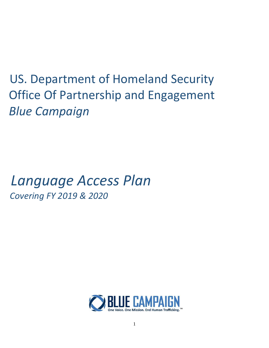US. Department of Homeland Security Office Of Partnership and Engagement *Blue Campaign*

# *Language Access Plan Covering FY 2019 & 2020*

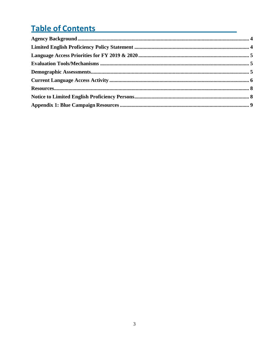# **Table of Contents**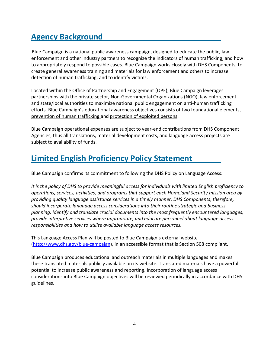# <span id="page-2-0"></span>**Agency Background**

Blue Campaign is a national public awareness campaign, designed to educate the public, law enforcement and other industry partners to recognize the indicators of human trafficking, and how to appropriately respond to possible cases. Blue Campaign works closely with DHS Components, to create general awareness training and materials for law enforcement and others to increase detection of human trafficking, and to identify victims.

Located within the Office of Partnership and Engagement (OPE), Blue Campaign leverages partnerships with the private sector, Non-Governmental Organizations (NGO), law enforcement and state/local authorities to maximize national public engagement on anti-human trafficking efforts. Blue Campaign's educational awareness objectives consists of two foundational elements, prevention of human trafficking and protection of exploited persons.

Blue Campaign operational expenses are subject to year-end contributions from DHS Component Agencies, thus all translations, material development costs, and language access projects are subject to availability of funds.

# <span id="page-2-1"></span>**Limited English Proficiency Policy Statement**

Blue Campaign confirms its commitment to following the DHS Policy on Language Access:

*It is the policy of DHS to provide meaningful access for individuals with limited English proficiency to operations, services, activities, and programs that support each Homeland Security mission area by providing quality language assistance services in a timely manner. DHS Components, therefore, should incorporate language access considerations into their routine strategic and business planning, identify and translate crucial documents into the most frequently encountered languages, provide interpretive services where appropriate, and educate personnel about language access responsibilities and how to utilize available language access resources.*

This Language Access Plan will be posted to Blue Campaign's external website [\(http://www.dhs.gov/blue](http://www.dhs.gov/blue)-campaign), in an accessible format that is Section 508 compliant.

Blue Campaign produces educational and outreach materials in multiple languages and makes these translated materials publicly available on its website. Translated materials have a powerful potential to increase public awareness and reporting. Incorporation of language access considerations into Blue Campaign objectives will be reviewed periodically in accordance with DHS guidelines.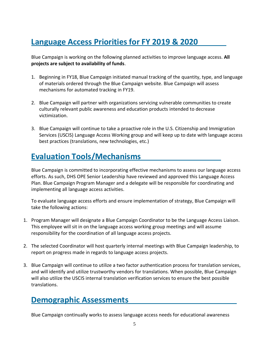# <span id="page-3-0"></span>**Language Access Priorities for FY 2019 & 2020**

Blue Campaign is working on the following planned activities to improve language access. **All projects are subject to availability of funds**.

- 1. Beginning in FY18, Blue Campaign initiated manual tracking of the quantity, type, and language of materials ordered through the Blue Campaign website. Blue Campaign will assess mechanisms for automated tracking in FY19.
- 2. Blue Campaign will partner with organizations servicing vulnerable communities to create culturally relevant public awareness and education products intended to decrease victimization.
- 3. Blue Campaign will continue to take a proactive role in the U.S. Citizenship and Immigration Services (USCIS) Language Access Working group and will keep up to date with language access best practices (translations, new technologies, etc.)

## <span id="page-3-1"></span>**Evaluation Tools/Mechanisms**

Blue Campaign is committed to incorporating effective mechanisms to assess our language access efforts. As such, DHS OPE Senior Leadership have reviewed and approved this Language Access Plan. Blue Campaign Program Manager and a delegate will be responsible for coordinating and implementing all language access activities.

To evaluate language access efforts and ensure implementation of strategy, Blue Campaign will take the following actions:

- 1. Program Manager will designate a Blue Campaign Coordinator to be the Language Access Liaison. This employee will sit in on the language access working group meetings and will assume responsibility for the coordination of all language access projects.
- 2. The selected Coordinator will host quarterly internal meetings with Blue Campaign leadership, to report on progress made in regards to language access projects.
- 3. Blue Campaign will continue to utilize a two factor authentication process for translation services, and will identify and utilize trustworthy vendors for translations. When possible, Blue Campaign will also utilize the USCIS internal translation verification services to ensure the best possible translations.

### <span id="page-3-2"></span>**Demographic Assessments**

Blue Campaign continually works to assess language access needs for educational awareness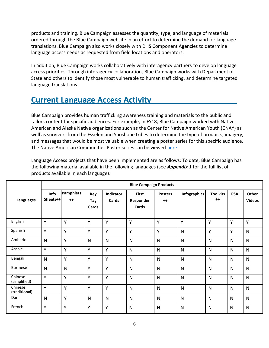products and training. Blue Campaign assesses the quantity, type, and language of materials ordered through the Blue Campaign website in an effort to determine the demand for language translations. Blue Campaign also works closely with DHS Component Agencies to determine language access needs as requested from field locations and operators.

In addition, Blue Campaign works collaboratively with interagency partners to develop language access priorities. Through interagency collaboration, Blue Campaign works with Department of State and others to identify those most vulnerable to human trafficking, and determine targeted language translations.

### <span id="page-4-0"></span>**Current Language Access Activity**

Blue Campaign provides human trafficking awareness training and materials to the public and tailors content for specific audiences. For example, in FY18, Blue Campaign worked with Native American and Alaska Native organizations such as the Center for Native American Youth (CNAY) as well as survivors from the Esselen and Shoshone tribes to determine the type of products, imagery, and messages that would be most valuable when creating a poster series for this specific audience. The Native American Communities Poster series can be viewed [here.](https://www.dhs.gov/publication/native-communities-awareness-poster-series)

Language Access projects that have been implemented are as follows: To date, Blue Campaign has the following material available in the following languages (see *Appendix 1* for the full list of products available in each language):

|                          | <b>Blue Campaign Products</b> |                          |                     |                    |                                    |                        |                     |                         |              |                        |
|--------------------------|-------------------------------|--------------------------|---------------------|--------------------|------------------------------------|------------------------|---------------------|-------------------------|--------------|------------------------|
| Languages                | Info<br>Sheets++              | <b>Pamphlets</b><br>$++$ | Key<br>Tag<br>Cards | Indicator<br>Cards | <b>First</b><br>Responder<br>Cards | <b>Posters</b><br>$++$ | <b>Infographics</b> | <b>Toolkits</b><br>$++$ | <b>PSA</b>   | Other<br><b>Videos</b> |
| English                  | Y                             | Y                        | Y                   | Y                  | Y                                  | Y                      | Y                   | Y                       | Y            | Y                      |
| Spanish                  | Y                             | Y                        | Y                   | Y                  | Y                                  | Υ                      | N                   | Y                       | Y            | $\mathsf{N}$           |
| Amharic                  | $\mathsf{N}$                  | Y                        | $\mathsf{N}$        | N                  | $\mathsf{N}$                       | N                      | $\mathsf{N}$        | $\mathsf{N}$            | N            | $\mathsf{N}$           |
| Arabic                   | Ý                             | Y                        | Y                   | Y                  | N                                  | N                      | $\mathsf{N}$        | $\mathsf{N}$            | N            | $\mathsf{N}$           |
| Bengali                  | $\mathsf{N}$                  | Y                        | Y                   | Y                  | $\mathsf{N}$                       | $\mathsf{N}$           | N                   | $\mathsf{N}$            | N            | $\mathsf{N}$           |
| <b>Burmese</b>           | $\mathsf{N}$                  | N                        | Y                   | Y                  | N                                  | $\mathsf{N}$           | $\mathsf{N}$        | $\mathsf{N}$            | N            | $\mathsf{N}$           |
| Chinese<br>(simplified)  | Y                             | Y                        | Y                   | Y                  | N                                  | $\mathsf{N}$           | N                   | $\mathsf{N}$            | N            | $\mathsf{N}$           |
| Chinese<br>(traditional) | Υ                             | Y                        | Y                   | Y                  | N                                  | N                      | $\mathsf{N}$        | $\mathsf{N}$            | N            | $\mathsf{N}$           |
| Dari                     | N                             | Y                        | N                   | N                  | $\mathsf{N}$                       | $\mathsf{N}$           | $\mathsf{N}$        | $\mathsf{N}$            | $\mathsf{N}$ | $\mathsf{N}$           |
| French                   | Y                             | Y                        | Y                   | Y                  | $\mathsf{N}$                       | $\mathsf{N}$           | N                   | N                       | $\mathsf{N}$ | $\mathsf{N}$           |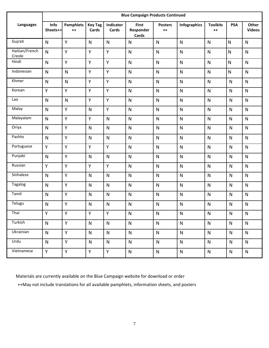|                          | <b>Blue Campaign Products Continued</b> |                          |                         |                    |                                    |                        |              |                         |              |                               |
|--------------------------|-----------------------------------------|--------------------------|-------------------------|--------------------|------------------------------------|------------------------|--------------|-------------------------|--------------|-------------------------------|
| Languages                | Info<br>Sheets++                        | <b>Pamphlets</b><br>$++$ | <b>Key Tag</b><br>Cards | Indicator<br>Cards | <b>First</b><br>Responder<br>Cards | <b>Posters</b><br>$++$ | Infographics | <b>Toolkits</b><br>$++$ | <b>PSA</b>   | <b>Other</b><br><b>Videos</b> |
| Gujrati                  | $\mathsf{N}$                            | Y                        | $\mathsf{N}$            | $\mathsf{N}$       | $\mathsf{N}$                       | $\mathsf{N}$           | $\mathsf{N}$ | $\mathsf{N}$            | $\mathsf{N}$ | $\mathsf{N}$                  |
| Haitian/French<br>Creole | $\mathsf{N}$                            | Y                        | Υ                       | Y                  | $\mathsf{N}$                       | ${\sf N}$              | $\mathsf{N}$ | $\mathsf{N}$            | N            | ${\sf N}$                     |
| Hindi                    | $\mathsf{N}$                            | Y                        | Ÿ                       | Y                  | $\mathsf{N}$                       | $\mathsf{N}$           | $\mathsf{N}$ | $\mathsf{N}$            | N            | $\mathsf{N}$                  |
| Indonesian               | $\mathsf{N}$                            | ${\sf N}$                | Y                       | Y                  | $\mathsf{N}$                       | $\mathsf{N}$           | $\mathsf{N}$ | $\mathsf{N}$            | $\mathsf{N}$ | $\mathsf{N}$                  |
| Khmer                    | $\mathsf{N}$                            | ${\sf N}$                | Y                       | Y                  | $\mathsf{N}$                       | ${\sf N}$              | ${\sf N}$    | ${\sf N}$               | $\mathsf{N}$ | $\mathsf{N}$                  |
| Korean                   | Υ                                       | Y                        | Y                       | Y                  | $\mathsf{N}$                       | ${\sf N}$              | $\mathsf{N}$ | ${\sf N}$               | $\mathsf{N}$ | $\mathsf{N}$                  |
| Lao                      | ${\sf N}$                               | $\mathsf{N}$             | Υ                       | Y                  | $\mathsf{N}$                       | $\mathsf{N}$           | $\mathsf{N}$ | ${\sf N}$               | $\mathsf{N}$ | ${\sf N}$                     |
| Malay                    | $\mathsf{N}$                            | Y                        | $\mathsf{N}$            | Y                  | $\mathsf{N}$                       | $\mathsf{N}$           | $\mathsf{N}$ | $\mathsf{N}$            | $\mathsf{N}$ | $\mathsf{N}$                  |
| Malayalam                | $\mathsf{N}$                            | Y                        | Υ                       | $\mathsf{N}$       | $\mathsf{N}$                       | $\mathsf{N}$           | $\mathsf{N}$ | $\mathsf{N}$            | $\mathsf{N}$ | $\mathsf{N}$                  |
| Oriya                    | $\mathsf{N}$                            | Y                        | $\mathsf{N}$            | N                  | $\mathsf{N}$                       | $\mathsf{N}$           | $\mathsf{N}$ | $\mathsf{N}$            | $\mathsf{N}$ | $\mathsf{N}$                  |
| Pashto                   | $\mathsf{N}$                            | Y                        | $\mathsf{N}$            | $\mathsf{N}$       | $\mathsf{N}$                       | ${\sf N}$              | $\mathsf{N}$ | $\mathsf{N}$            | $\mathsf{N}$ | ${\sf N}$                     |
| Portuguese               | Y                                       | Y                        | Y                       | Y                  | $\mathsf{N}$                       | $\mathsf{N}$           | $\mathsf{N}$ | $\mathsf{N}$            | $\mathsf{N}$ | $\mathsf{N}$                  |
| Punjabi                  | $\mathsf{N}$                            | Y                        | $\mathsf{N}$            | $\mathsf{N}$       | $\mathsf{N}$                       | $\mathsf{N}$           | $\mathsf{N}$ | $\mathsf{N}$            | $\mathsf{N}$ | $\mathsf{N}$                  |
| Russian                  | Y                                       | Y                        | Y                       | Y                  | $\mathsf{N}$                       | $\mathsf{N}$           | $\mathsf{N}$ | $\mathsf{N}$            | $\mathsf{N}$ | $\mathsf{N}$                  |
| Sinhalese                | $\mathsf{N}$                            | Y                        | $\mathsf{N}$            | $\mathsf{N}$       | $\mathsf{N}$                       | N                      | $\mathsf{N}$ | $\mathsf{N}$            | $\mathsf{N}$ | $\mathsf{N}$                  |
| Tagalog                  | $\mathsf{N}$                            | Y                        | $\mathsf{N}$            | $\mathsf{N}$       | $\mathsf{N}$                       | ${\sf N}$              | $\mathsf{N}$ | ${\sf N}$               | $\mathsf{N}$ | ${\sf N}$                     |
| Tamil                    | $\mathsf{N}$                            | Y                        | $\mathsf{N}$            | $\mathsf{N}$       | $\mathsf{N}$                       | $\mathsf{N}$           | $\mathsf{N}$ | $\mathsf{N}$            | $\mathsf{N}$ | $\mathsf{N}$                  |
| Telugu                   | ${\sf N}$                               | Y                        | $\mathsf{N}$            | ${\sf N}$          | $\mathsf{N}$                       | ${\sf N}$              | $\mathsf{N}$ | ${\sf N}$               | ${\sf N}$    | $\mathsf{N}$                  |
| Thai                     | Y                                       | Y                        | Y                       | Y                  | $\mathsf{N}$                       | $\mathsf{N}$           | $\mathsf{N}$ | $\mathsf{N}$            | $\mathsf{N}$ | $\mathsf{N}$                  |
| Turkish                  | $\mathsf{N}$                            | Y                        | ${\sf N}$               | $\mathsf{N}$       | $\mathsf{N}$                       | ${\sf N}$              | $\mathsf{N}$ | $\mathsf{N}$            | $\mathsf{N}$ | $\mathsf{N}$                  |
| Ukrainian                | $\mathsf{N}$                            | Y                        | $\mathsf{N}$            | $\mathsf{N}$       | $\mathsf{N}$                       | $\mathsf{N}$           | N            | $\mathsf{N}$            | $\mathsf{N}$ | $\mathsf{N}$                  |
| Urdu                     | $\mathsf{N}$                            | Y                        | $\mathsf{N}$            | $\mathsf{N}$       | $\mathsf{N}$                       | $\mathsf{N}$           | $\mathsf{N}$ | $\mathsf{N}$            | $\mathsf{N}$ | $\mathsf{N}$                  |
| Vietnamese               | Y.                                      | Y.                       | Y.                      | Y                  | $\mathsf{N}$                       | N                      | $\mathsf{N}$ | $\mathsf{N}$            | $\mathsf{N}$ | $\mathsf{N}$                  |

Materials are currently available on the Blue Campaign website for download or order

++May not include translations for all available pamphlets, information sheets, and posters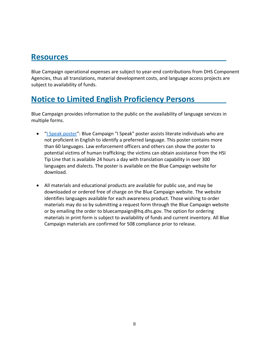### <span id="page-6-0"></span>**Resources**

Blue Campaign operational expenses are subject to year-end contributions from DHS Component Agencies, thus all translations, material development costs, and language access projects are subject to availability of funds.

### <span id="page-6-1"></span>**Notice to Limited English Proficiency Persons**

Blue Campaign provides information to the public on the availability of language services in multiple forms.

- "[I Speak poster](https://www.dhs.gov/sites/default/files/publications/blue-campaign/materials/posters/bc-poster-18x24-ispeak.pdf)": Blue Campaign "I Speak" poster assists literate individuals who are not proficient in English to identify a preferred language. This poster contains more than 60 languages. Law enforcement officers and others can show the poster to potential victims of human trafficking; the victims can obtain assistance from the HSI Tip Line that is available 24 hours a day with translation capability in over 300 languages and dialects. The poster is available on the Blue Campaign website for download.
- All materials and educational products are available for public use, and may be downloaded or ordered free of charge on the Blue Campaign website. The website identifies languages available for each awareness product. Those wishing to order materials may do so by submitting a request form through the Blue Campaign website or by emailing the order to bluecampaign@hq.dhs.gov. The option for ordering materials in print form is subject to availability of funds and current inventory. All Blue Campaign materials are confirmed for 508 compliance prior to release.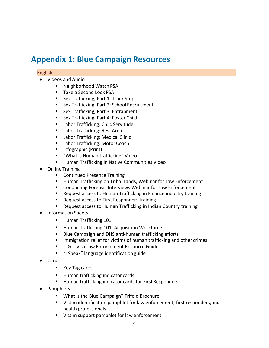### <span id="page-7-0"></span>**Appendix 1: Blue Campaign Resources**

#### **English**

- Videos and Audio
	- Neighborhood Watch PSA
	- Take a Second Look PSA
	- Sex Trafficking, Part 1: Truck Stop
	- Sex Trafficking, Part 2: School Recruitment
	- Sex Trafficking, Part 3: Entrapment
	- Sex Trafficking, Part 4: Foster Child
	- Labor Trafficking: Child Servitude
	- Labor Trafficking: Rest Area
	- Labor Trafficking: Medical Clinic
	- Labor Trafficking: Motor Coach
	- Infographic (Print)
	- "What is Human trafficking" Video
	- Human Trafficking in Native Communities Video
- Online Training
	- Continued Presence Training
	- Human Trafficking on Tribal Lands, Webinar for Law Enforcement
	- Conducting Forensic Interviews Webinar for Law Enforcement
	- Request access to Human Trafficking in Finance industry training
	- Request access to First Responders training
	- Request access to Human Trafficking in Indian Country training
- Information Sheets
	- Human Trafficking 101
	- Human Trafficking 101: Acquisition Workforce
	- Blue Campaign and DHS anti-human trafficking efforts
	- Immigration relief for victims of human trafficking and other crimes
	- U & T Visa Law Enforcement Resource Guide
	- "I Speak" language identification guide
- Cards
	- Key Tag cards
	- Human trafficking indicator cards
	- Human trafficking indicator cards for First Responders
- Pamphlets
	- What is the Blue Campaign? Trifold Brochure
	- Victim identification pamphlet for law enforcement, first responders, and health professionals
	- Victim support pamphlet for law enforcement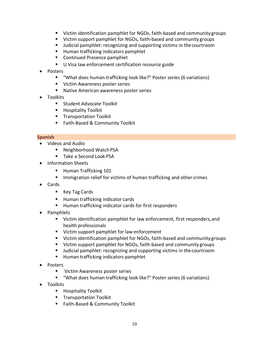- Victim identification pamphlet for NGOs, faith-based and community groups
- Victim support pamphlet for NGOs, faith-based and community groups
- Judicial pamphlet: recognizing and supporting victims in the courtroom
- Human trafficking indicators pamphlet
- Continued Presence pamphlet
- U Visa law enforcement certification resource guide
- Posters
	- "What does human trafficking look like?" Poster series (6 variations)
	- Victim Awareness poster series
	- Native American awareness poster series
- Toolkits
	- Student Advocate Toolkit
	- Hospitality Toolkit
	- Transportation Toolkit
	- Faith-Based & Community Toolkit

#### **Spanish**

- Videos and Audio
	- Neighborhood Watch PSA
	- Take a Second Look PSA
- Information Sheets
	- Human Trafficking 101
	- Immigration relief for victims of human trafficking and other crimes
- Cards
	- Key Tag Cards
	- Human trafficking indicator cards
	- Human trafficking indicator cards for first responders
- Pamphlets
	- Victim identification pamphlet for law enforcement, first responders, and health professionals
	- Victim support pamphlet for law enforcement
	- Victim identification pamphlet for NGOs, faith-based and community groups
	- Victim support pamphlet for NGOs, faith-based and community groups
	- Judicial pamphlet: recognizing and supporting victims in the courtroom
	- Human trafficking indicators pamphlet
- Posters
	- Victim Awareness poster series
	- "What does human trafficking look like?" Poster series (6 variations)
- Toolkits
	- Hospitality Toolkit
	- Transportation Toolkit
	- Faith-Based & Community Toolkit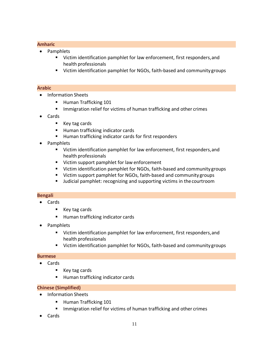#### **Amharic**

- Pamphlets
	- Victim identification pamphlet for law enforcement, first responders, and health professionals
	- Victim identification pamphlet for NGOs, faith-based and community groups

#### **Arabic**

- Information Sheets
	- Human Trafficking 101
	- Immigration relief for victims of human trafficking and other crimes
- Cards
	- Key tag cards
	- Human trafficking indicator cards
	- Human trafficking indicator cards for first responders
- Pamphlets
	- Victim identification pamphlet for law enforcement, first responders, and health professionals
	- Victim support pamphlet for law enforcement
	- Victim identification pamphlet for NGOs, faith-based and community groups
	- Victim support pamphlet for NGOs, faith-based and community groups
	- Judicial pamphlet: recognizing and supporting victims in the courtroom

#### **Bengali**

- Cards
	- Key tag cards
	- Human trafficking indicator cards
- Pamphlets
	- Victim identification pamphlet for law enforcement, first responders, and health professionals
	- Victim identification pamphlet for NGOs, faith-based and community groups

#### **Burmese**

- Cards
	- Key tag cards
	- Human trafficking indicator cards

#### **Chinese (Simplified)**

- Information Sheets
	- Human Trafficking 101
	- Immigration relief for victims of human trafficking and other crimes
- Cards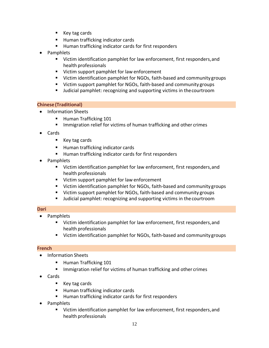- Key tag cards
- Human trafficking indicator cards
- Human trafficking indicator cards for first responders
- Pamphlets
	- Victim identification pamphlet for law enforcement, first responders, and health professionals
	- Victim support pamphlet for law enforcement
	- Victim identification pamphlet for NGOs, faith-based and community groups
	- Victim support pamphlet for NGOs, faith-based and community groups
	- Judicial pamphlet: recognizing and supporting victims in thecourtroom

#### **Chinese (Traditional)**

- Information Sheets
	- Human Trafficking 101
	- **■** Immigration relief for victims of human trafficking and other crimes
- Cards
	- Key tag cards
	- Human trafficking indicator cards
	- Human trafficking indicator cards for first responders
- Pamphlets
	- Victim identification pamphlet for law enforcement, first responders, and health professionals
	- Victim support pamphlet for law enforcement
	- Victim identification pamphlet for NGOs, faith-based and community groups
	- Victim support pamphlet for NGOs, faith-based and community groups
	- Judicial pamphlet: recognizing and supporting victims in the courtroom

#### **Dari**

- Pamphlets
	- Victim identification pamphlet for law enforcement, first responders, and health professionals
	- Victim identification pamphlet for NGOs, faith-based and community groups

#### **French**

- Information Sheets
	- Human Trafficking 101
	- Immigration relief for victims of human trafficking and other crimes
- Cards
	- Key tag cards
	- Human trafficking indicator cards
	- Human trafficking indicator cards for first responders
- Pamphlets
	- Victim identification pamphlet for law enforcement, first responders, and health professionals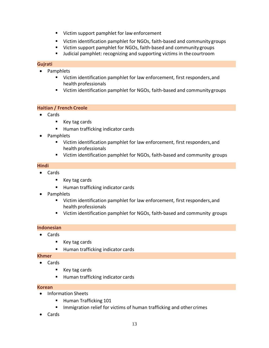- Victim support pamphlet for law enforcement
- Victim identification pamphlet for NGOs, faith-based and community groups
- Victim support pamphlet for NGOs, faith-based and community groups
- Judicial pamphlet: recognizing and supporting victims in the courtroom

#### **Gujrati**

- Pamphlets
	- Victim identification pamphlet for law enforcement, first responders, and health professionals
	- Victim identification pamphlet for NGOs, faith-based and community groups

#### **Haitian / French Creole**

- Cards
	- Key tag cards
	- Human trafficking indicator cards
- Pamphlets
	- Victim identification pamphlet for law enforcement, first responders, and health professionals
	- Victim identification pamphlet for NGOs, faith-based and community groups

#### **Hindi**

- Cards
	- Key tag cards
	- Human trafficking indicator cards
- Pamphlets
	- Victim identification pamphlet for law enforcement, first responders, and health professionals
	- Victim identification pamphlet for NGOs, faith-based and community groups

#### **Indonesian**

- Cards
	- Key tag cards
	- Human trafficking indicator cards

#### **Khmer**

- Cards
	- Key tag cards
	- Human trafficking indicator cards

#### **Korean**

- Information Sheets
	- Human Trafficking 101
	- Immigration relief for victims of human trafficking and other crimes
- Cards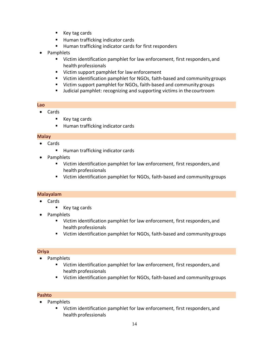- Key tag cards
- Human trafficking indicator cards
- Human trafficking indicator cards for first responders
- Pamphlets
	- Victim identification pamphlet for law enforcement, first responders, and health professionals
	- Victim support pamphlet for law enforcement
	- Victim identification pamphlet for NGOs, faith-based and community groups
	- Victim support pamphlet for NGOs, faith-based and community groups
	- Judicial pamphlet: recognizing and supporting victims in the courtroom

#### **Lao**

- Cards
	- Key tag cards
	- Human trafficking indicator cards

#### **Malay**

- Cards
	- Human trafficking indicator cards
- Pamphlets
	- Victim identification pamphlet for law enforcement, first responders, and health professionals
	- Victim identification pamphlet for NGOs, faith-based and community groups

#### **Malayalam**

- Cards
	- Key tag cards
- Pamphlets
	- Victim identification pamphlet for law enforcement, first responders, and health professionals
	- Victim identification pamphlet for NGOs, faith-based and community groups

#### **Oriya**

- Pamphlets
	- Victim identification pamphlet for law enforcement, first responders, and health professionals
	- Victim identification pamphlet for NGOs, faith-based and community groups

#### **Pashto**

- Pamphlets
	- Victim identification pamphlet for law enforcement, first responders, and health professionals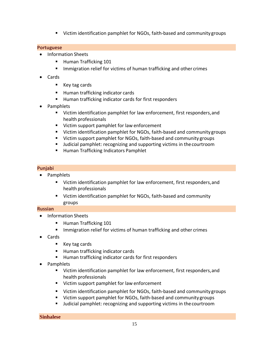■ Victim identification pamphlet for NGOs, faith-based and community groups

#### **Portuguese**

- Information Sheets
	- Human Trafficking 101
	- Immigration relief for victims of human trafficking and other crimes
- Cards
	- Key tag cards
	- Human trafficking indicator cards
	- Human trafficking indicator cards for first responders
- Pamphlets
	- Victim identification pamphlet for law enforcement, first responders, and health professionals
	- Victim support pamphlet for law enforcement
	- Victim identification pamphlet for NGOs, faith-based and community groups
	- Victim support pamphlet for NGOs, faith-based and community groups
	- Judicial pamphlet: recognizing and supporting victims in the courtroom
	- Human Trafficking Indicators Pamphlet

#### **Punjabi**

- Pamphlets
	- Victim identification pamphlet for law enforcement, first responders,and health professionals
	- Victim identification pamphlet for NGOs, faith-based and community groups

#### **Russian**

- Information Sheets
	- Human Trafficking 101
	- Immigration relief for victims of human trafficking and other crimes
- Cards
	- Key tag cards
	- Human trafficking indicator cards
	- Human trafficking indicator cards for first responders
- Pamphlets
	- Victim identification pamphlet for law enforcement, first responders, and health professionals
	- Victim support pamphlet for law enforcement
	- Victim identification pamphlet for NGOs, faith-based and community groups
	- Victim support pamphlet for NGOs, faith-based and community groups
	- Judicial pamphlet: recognizing and supporting victims in the courtroom

**Sinhalese**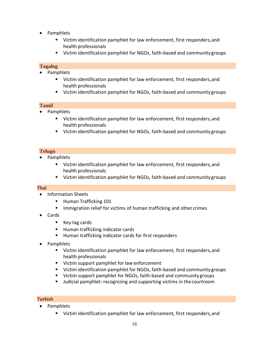- Pamphlets
	- Victim identification pamphlet for law enforcement, first responders, and health professionals
	- Victim identification pamphlet for NGOs, faith-based and community groups

#### **Tagalog**

- Pamphlets
	- Victim identification pamphlet for law enforcement, first responders, and health professionals
	- Victim identification pamphlet for NGOs, faith-based and community groups

#### **Tamil**

- Pamphlets
	- Victim identification pamphlet for law enforcement, first responders, and health professionals
	- Victim identification pamphlet for NGOs, faith-based and community groups

#### **Telugu**

- Pamphlets
	- Victim identification pamphlet for law enforcement, first responders, and health professionals
	- Victim identification pamphlet for NGOs, faith-based and community groups

#### **Thai**

- Information Sheets
	- Human Trafficking 101
	- Immigration relief for victims of human trafficking and other crimes
- Cards
	- Key tag cards
	- Human trafficking indicator cards
	- Human trafficking indicator cards for first responders
- Pamphlets
	- Victim identification pamphlet for law enforcement, first responders, and health professionals
	- Victim support pamphlet for law enforcement
	- Victim identification pamphlet for NGOs, faith-based and community groups
	- Victim support pamphlet for NGOs, faith-based and community groups
	- Judicial pamphlet: recognizing and supporting victims in the courtroom

#### **Turkish**

- Pamphlets
	- Victim identification pamphlet for law enforcement, first responders, and